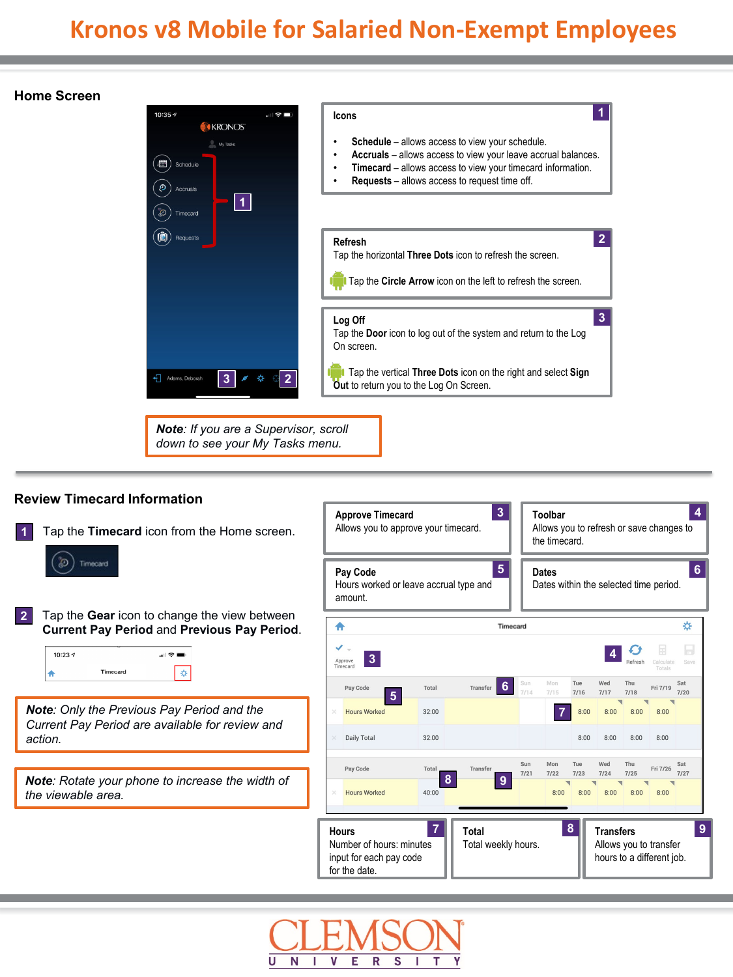### **Home Screen**



*down to see your My Tasks menu.*

#### **Review Timecard Information 3 4 Approve Timecard Toolbar** Allows you to approve your timecard. Allows you to refresh or save changes to **1** Tap the **Timecard** icon from the Home screen. the timecard. Timecard **56 Pay Code Dates** Dates within the selected time period. Hours worked or leave accrual type and amount. **2** Tap the **Gear** icon to change the view between ₩ ۸ Timecard **Current Pay Period** and **Previous Pay Period**.  $\mathcal{O}$  $\Box$ 10:23  $\sqrt{ }$  $\mathbf{H} \mathbf{R} =$ **4 3** Approve<br>Timecard **Save** Timecard Ä \* Tue Wed Thu Sat Total **6** Pay Coo Tranefa Fri 7/19  $7/15$  $7/16$  $7/17$  $7/18$  $7/20$ **5** *Note: Only the Previous Pay Period and the*  **Hours Worked**  $32:00$ **7**  $8:00$  $8:00$  $8:00$  $8:00$ *Current Pay Period are available for review and*  Daily Total  $32:00$  $8:00$  $8:00$  $8:00$ *action.*  $8:00$ Sun Mon Tue Wed Thu Sat Pay Code Fri 7/26 Tota Transfe  $7/27$  $7/21$  $7/22$  $7/23$  $7/24$  $7/25$ *Note: Rotate your phone to increase the width of*  **8 9 Hours Worked**  $40:00$  $8:00$  $8:00$  $8:00$  $8:00$  $8:00$ *the viewable area.* **8 9 7 Hours Total Transfers** Number of hours: minutes Total weekly hours. Allows you to transfer input for each pay code hours to a different job. for the date.

S

N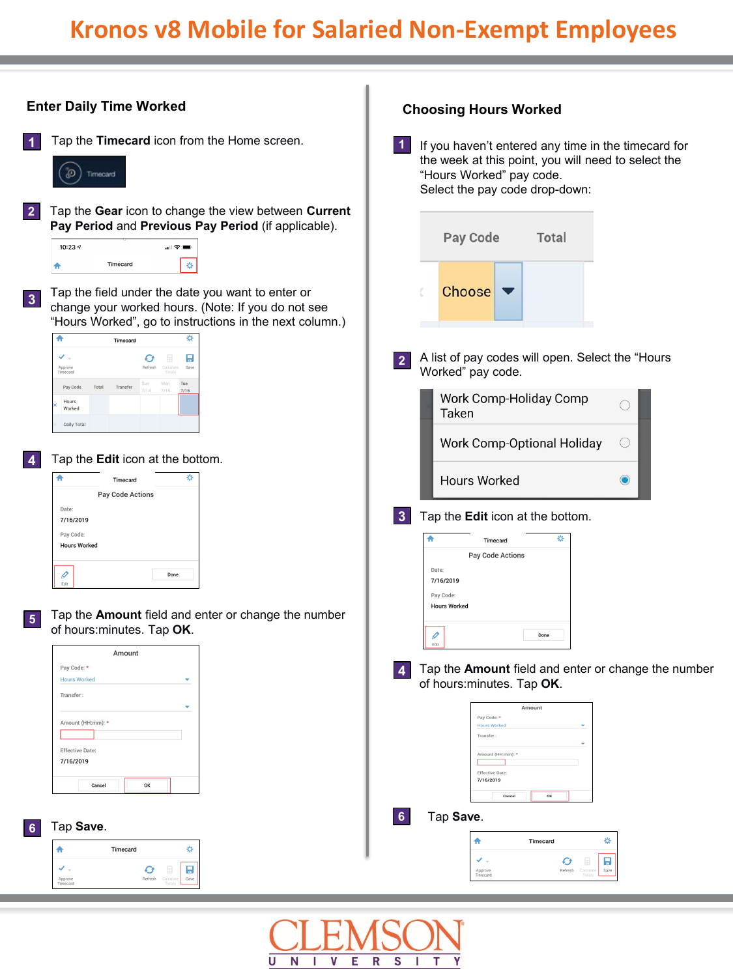|                                                                                 | <b>Enter Daily Time Worked</b>                                                                                                                                                                                                                                                                             |                              | <b>Choosing Hours Worked</b>                                                                                                                                                          |                               |                                                     |
|---------------------------------------------------------------------------------|------------------------------------------------------------------------------------------------------------------------------------------------------------------------------------------------------------------------------------------------------------------------------------------------------------|------------------------------|---------------------------------------------------------------------------------------------------------------------------------------------------------------------------------------|-------------------------------|-----------------------------------------------------|
| $\vert$ 1<br>Ð                                                                  | Tap the Timecard icon from the Home screen.<br>Timecard                                                                                                                                                                                                                                                    | 1                            | If you haven't entered any time in the timecard for<br>the week at this point, you will need to select the<br>"Hours Worked" pay code.<br>Select the pay code drop-down:              |                               |                                                     |
| 2 <sub>1</sub><br>10:23 $\sim$<br>₳<br>$\overline{\mathbf{3}}$                  | Tap the Gear icon to change the view between Current<br>Pay Period and Previous Pay Period (if applicable).<br>"⊩?■<br>Timecard<br>☆<br>Tap the field under the date you want to enter or<br>change your worked hours. (Note: If you do not see<br>"Hours Worked", go to instructions in the next column.) |                              | Pay Code<br>Choose                                                                                                                                                                    | <b>Total</b>                  |                                                     |
| 合<br>✔.<br>Approve<br>Timecard<br>Pay Code<br>Hours<br>Worked<br>$\overline{4}$ | ☆<br>Timecard<br>H<br>Ø<br>E<br>Refresh<br>Calculate<br>Save<br>Mon<br>Tue<br>Total<br>Transfer<br>7/15<br>7/16<br>Daily Total<br>Tap the Edit icon at the bottom.                                                                                                                                         | $\overline{2}$               | A list of pay codes will open. Select the "Hours<br>Worked" pay code.<br>Work Comp-Holiday Comp<br>Taken                                                                              | Work Comp-Optional Holiday    | O                                                   |
| ₳<br>Date:<br>Pay Code:<br>Ø<br>Edit                                            | ☆<br>Timecard<br>Pay Code Actions<br>7/16/2019<br><b>Hours Worked</b><br>Done                                                                                                                                                                                                                              | $\overline{\mathbf{3}}$<br>♠ | <b>Hours Worked</b><br>Tap the Edit icon at the bottom.<br>Timecard<br>Pay Code Actions<br>Date:<br>7/16/2019<br>Pay Code:                                                            | ☆                             | $\odot$                                             |
| $\overline{\mathbf{5}}$<br>Transfer                                             | Tap the Amount field and enter or change the number<br>of hours: minutes. Tap OK.<br>Amount<br>Pay Code: *<br><b>Hours Worked</b><br>٠<br>Amount (HH:mm): *<br><b>Effective Date:</b><br>7/16/2019<br>OK<br>Cancel                                                                                         | 4                            | <b>Hours Worked</b><br>I<br>Edit<br>of hours: minutes. Tap OK.<br>Pay Code: *<br><b>Hours Worked</b><br>Transfer<br>Amount (HH:mm): *<br><b>Effective Date</b><br>7/16/2019<br>Cancel | Done<br>Amount<br>OK          | Tap the Amount field and enter or change the number |
| $6\overline{6}$<br>₳<br>✔.<br>Approve<br>Timecard                               | Tap Save.<br>☆<br>Timecard<br>H<br>Ø<br>₩<br>Refresh<br>Calcula<br>Saw                                                                                                                                                                                                                                     | 6 <sup>1</sup>               | Tap Save.<br>♠<br>✓。<br>Approve<br>Timecard                                                                                                                                           | Timecard<br>Ø<br>Ħ<br>Refresh | ☆<br>Ы                                              |

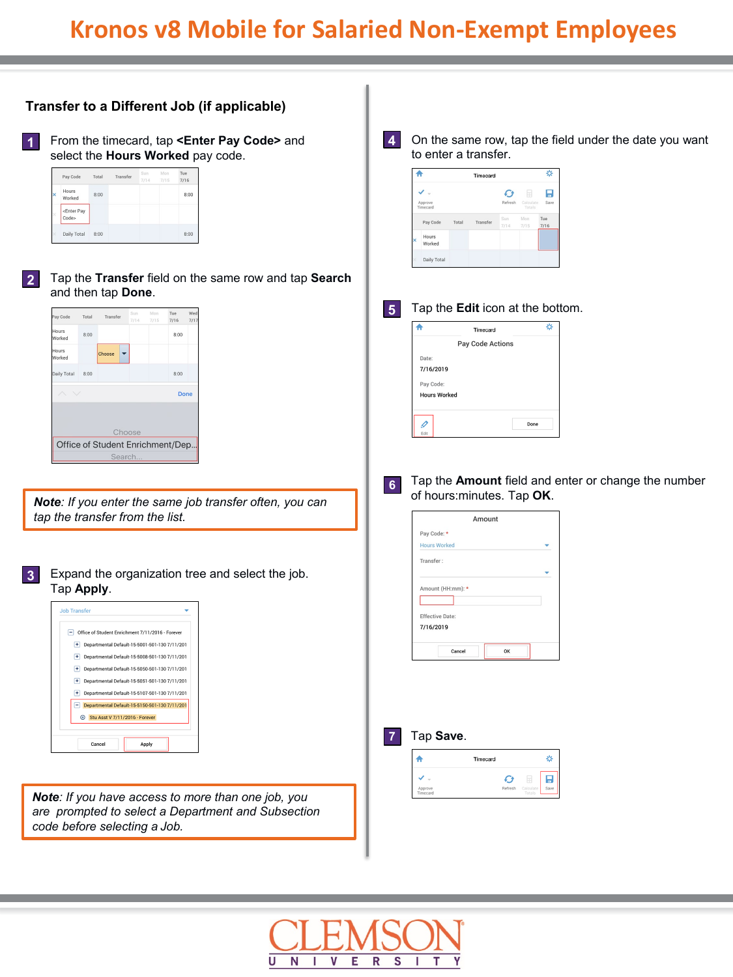

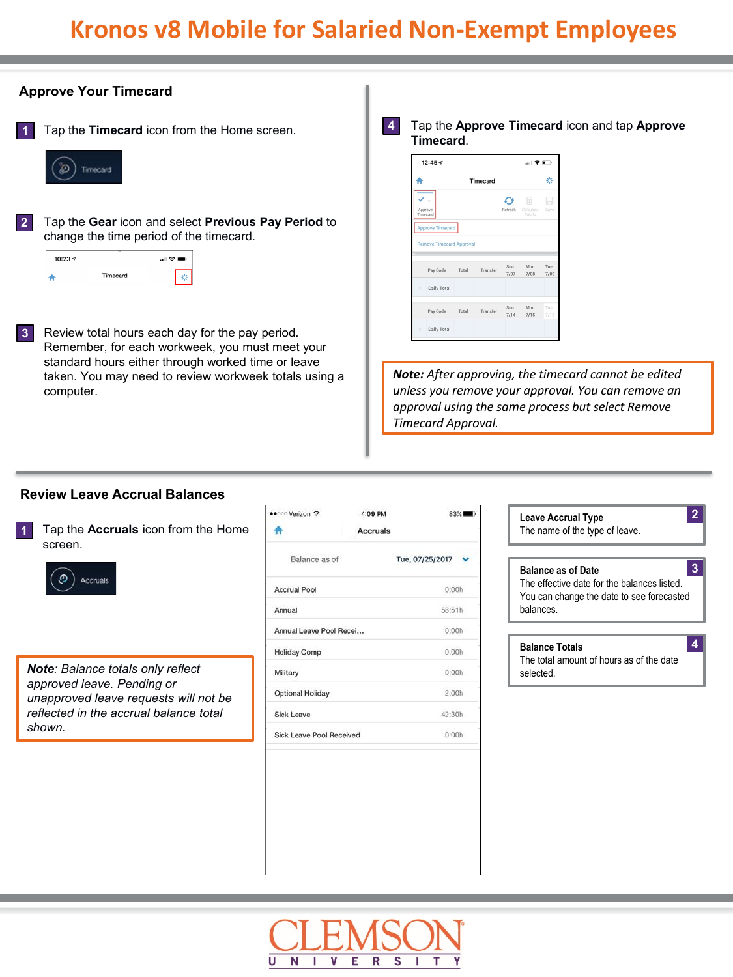

**Review Leave Accrual Balances**

Tap the **Accruals** icon from the Home screen. **1**



*Note: Balance totals only reflect approved leave. Pending or unapproved leave requests will not be reflected in the accrual balance total shown.*

| •• o Verizon *                  | 4:09 PM         | $83\%$          |  |  |  |
|---------------------------------|-----------------|-----------------|--|--|--|
|                                 | <b>Accruals</b> |                 |  |  |  |
| Balance as of                   |                 | Tue, 07/25/2017 |  |  |  |
| <b>Accrual Pool</b>             |                 | 0:00h           |  |  |  |
| Annual                          |                 | 58:51h          |  |  |  |
| Annual Leave Pool Recei         |                 | 0:00h           |  |  |  |
| <b>Holiday Comp</b>             |                 | 0:00h           |  |  |  |
| Military                        |                 | 0:00h           |  |  |  |
| <b>Optional Holiday</b>         |                 | 2:00h           |  |  |  |
| Sick Leave                      |                 | 42:30h          |  |  |  |
| <b>Sick Leave Pool Received</b> |                 | 0:00h           |  |  |  |

| <b>Leave Accrual Type</b><br>The name of the type of leave.                                                                             |  |
|-----------------------------------------------------------------------------------------------------------------------------------------|--|
| <b>Balance as of Date</b><br>The effective date for the balances listed<br>You can change the date to see forecasted<br><b>balances</b> |  |
| <b>Balance Totals</b><br>The total amount of hours as of the date<br>selected                                                           |  |